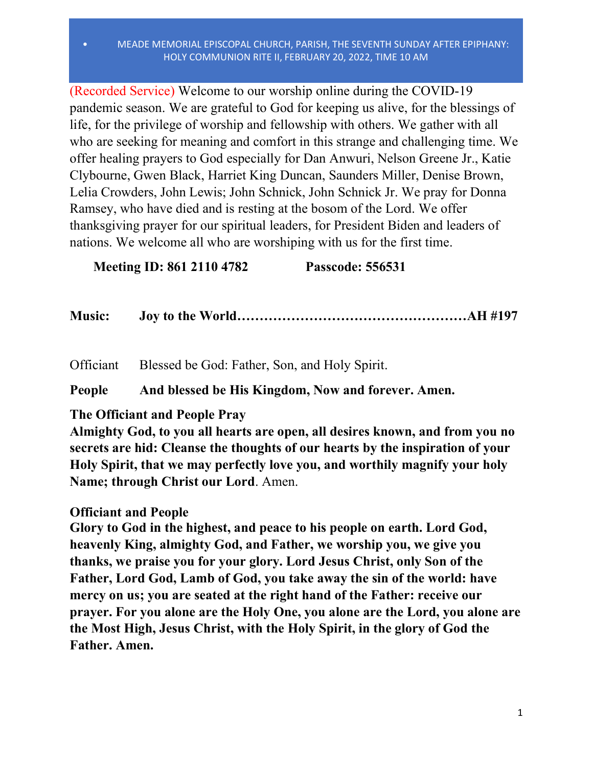(Recorded Service) Welcome to our worship online during the COVID-19 pandemic season. We are grateful to God for keeping us alive, for the blessings of life, for the privilege of worship and fellowship with others. We gather with all who are seeking for meaning and comfort in this strange and challenging time. We offer healing prayers to God especially for Dan Anwuri, Nelson Greene Jr., Katie Clybourne, Gwen Black, Harriet King Duncan, Saunders Miller, Denise Brown, Lelia Crowders, John Lewis; John Schnick, John Schnick Jr. We pray for Donna Ramsey, who have died and is resting at the bosom of the Lord. We offer thanksgiving prayer for our spiritual leaders, for President Biden and leaders of nations. We welcome all who are worshiping with us for the first time.

Meeting ID: 861 2110 4782 Passcode: 556531

Music: Joy to the World……………………………………………AH #197

Officiant Blessed be God: Father, Son, and Holy Spirit.

People And blessed be His Kingdom, Now and forever. Amen.

#### The Officiant and People Pray

Almighty God, to you all hearts are open, all desires known, and from you no secrets are hid: Cleanse the thoughts of our hearts by the inspiration of your Holy Spirit, that we may perfectly love you, and worthily magnify your holy Name; through Christ our Lord. Amen.

#### Officiant and People

Glory to God in the highest, and peace to his people on earth. Lord God, heavenly King, almighty God, and Father, we worship you, we give you thanks, we praise you for your glory. Lord Jesus Christ, only Son of the Father, Lord God, Lamb of God, you take away the sin of the world: have mercy on us; you are seated at the right hand of the Father: receive our prayer. For you alone are the Holy One, you alone are the Lord, you alone are the Most High, Jesus Christ, with the Holy Spirit, in the glory of God the Father. Amen.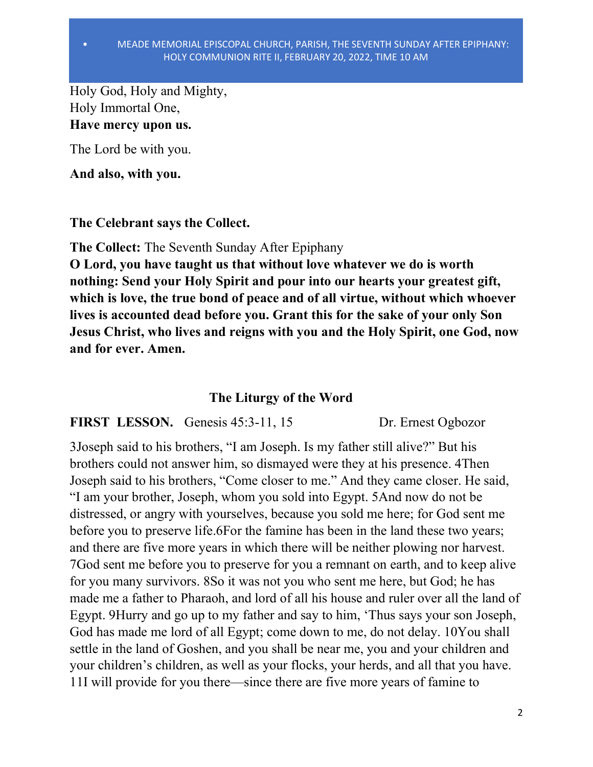Holy God, Holy and Mighty, Holy Immortal One, Have mercy upon us.

The Lord be with you.

And also, with you.

The Celebrant says the Collect.

The Collect: The Seventh Sunday After Epiphany O Lord, you have taught us that without love whatever we do is worth nothing: Send your Holy Spirit and pour into our hearts your greatest gift, which is love, the true bond of peace and of all virtue, without which whoever lives is accounted dead before you. Grant this for the sake of your only Son Jesus Christ, who lives and reigns with you and the Holy Spirit, one God, now and for ever. Amen.

#### The Liturgy of the Word

FIRST LESSON. Genesis 45:3-11, 15 Dr. Ernest Ogbozor

3Joseph said to his brothers, "I am Joseph. Is my father still alive?" But his brothers could not answer him, so dismayed were they at his presence. 4Then Joseph said to his brothers, "Come closer to me." And they came closer. He said, "I am your brother, Joseph, whom you sold into Egypt. 5And now do not be distressed, or angry with yourselves, because you sold me here; for God sent me before you to preserve life.6For the famine has been in the land these two years; and there are five more years in which there will be neither plowing nor harvest. 7God sent me before you to preserve for you a remnant on earth, and to keep alive for you many survivors. 8So it was not you who sent me here, but God; he has made me a father to Pharaoh, and lord of all his house and ruler over all the land of Egypt. 9Hurry and go up to my father and say to him, 'Thus says your son Joseph, God has made me lord of all Egypt; come down to me, do not delay. 10You shall settle in the land of Goshen, and you shall be near me, you and your children and your children's children, as well as your flocks, your herds, and all that you have. 11I will provide for you there—since there are five more years of famine to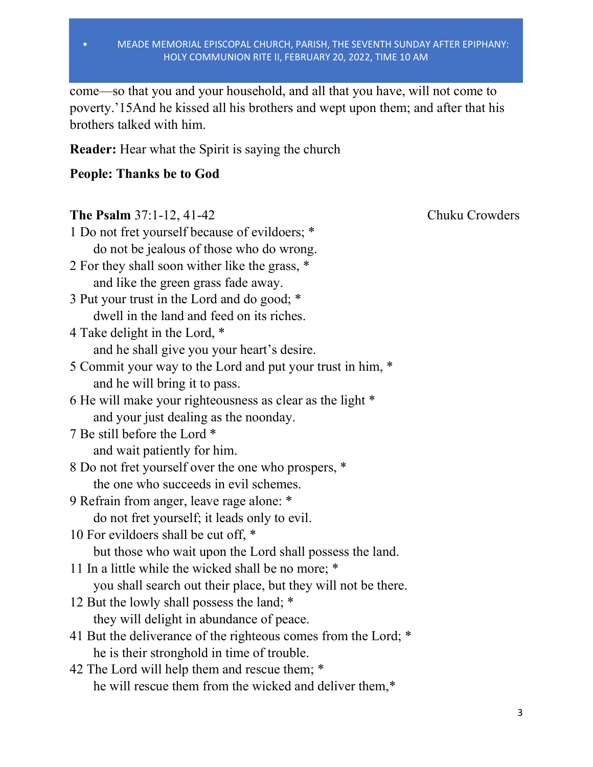come—so that you and your household, and all that you have, will not come to poverty.'15And he kissed all his brothers and wept upon them; and after that his brothers talked with him.

Reader: Hear what the Spirit is saying the church

## People: Thanks be to God

## The Psalm 37:1-12, 41-42 Chuku Crowders

| 1 Do not fret yourself because of evildoers; *                 |
|----------------------------------------------------------------|
| do not be jealous of those who do wrong.                       |
| 2 For they shall soon wither like the grass, *                 |
| and like the green grass fade away.                            |
| 3 Put your trust in the Lord and do good; *                    |
| dwell in the land and feed on its riches.                      |
| 4 Take delight in the Lord, *                                  |
| and he shall give you your heart's desire.                     |
| 5 Commit your way to the Lord and put your trust in him, *     |
| and he will bring it to pass.                                  |
| 6 He will make your righteousness as clear as the light *      |
| and your just dealing as the noonday.                          |
| 7 Be still before the Lord *                                   |
| and wait patiently for him.                                    |
| 8 Do not fret yourself over the one who prospers, *            |
| the one who succeeds in evil schemes.                          |
| 9 Refrain from anger, leave rage alone: *                      |
| do not fret yourself; it leads only to evil.                   |
| 10 For evildoers shall be cut off, *                           |
| but those who wait upon the Lord shall possess the land.       |
| 11 In a little while the wicked shall be no more; *            |
| you shall search out their place, but they will not be there.  |
| 12 But the lowly shall possess the land; *                     |
| they will delight in abundance of peace.                       |
| 41 But the deliverance of the righteous comes from the Lord; * |
| he is their stronghold in time of trouble.                     |
| 42 The Lord will help them and rescue them; *                  |
| he will rescue them from the wicked and deliver them,*         |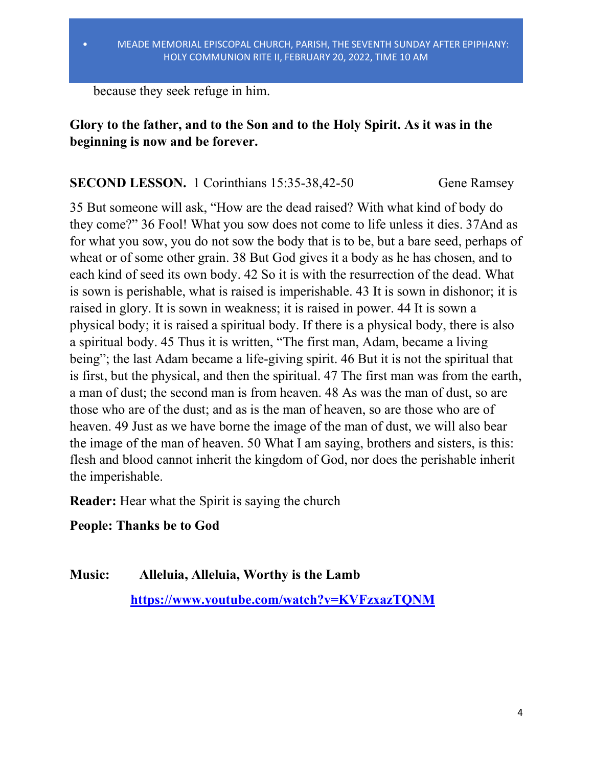because they seek refuge in him.

## Glory to the father, and to the Son and to the Holy Spirit. As it was in the beginning is now and be forever.

## SECOND LESSON. 1 Corinthians 15:35-38,42-50 Gene Ramsey

35 But someone will ask, "How are the dead raised? With what kind of body do they come?" 36 Fool! What you sow does not come to life unless it dies. 37And as for what you sow, you do not sow the body that is to be, but a bare seed, perhaps of wheat or of some other grain. 38 But God gives it a body as he has chosen, and to each kind of seed its own body. 42 So it is with the resurrection of the dead. What is sown is perishable, what is raised is imperishable. 43 It is sown in dishonor; it is raised in glory. It is sown in weakness; it is raised in power. 44 It is sown a physical body; it is raised a spiritual body. If there is a physical body, there is also a spiritual body. 45 Thus it is written, "The first man, Adam, became a living being"; the last Adam became a life-giving spirit. 46 But it is not the spiritual that is first, but the physical, and then the spiritual. 47 The first man was from the earth, a man of dust; the second man is from heaven. 48 As was the man of dust, so are those who are of the dust; and as is the man of heaven, so are those who are of heaven. 49 Just as we have borne the image of the man of dust, we will also bear the image of the man of heaven. 50 What I am saying, brothers and sisters, is this: flesh and blood cannot inherit the kingdom of God, nor does the perishable inherit the imperishable.

Reader: Hear what the Spirit is saying the church

#### People: Thanks be to God

#### Music: Alleluia, Alleluia, Worthy is the Lamb

https://www.youtube.com/watch?v=KVFzxazTQNM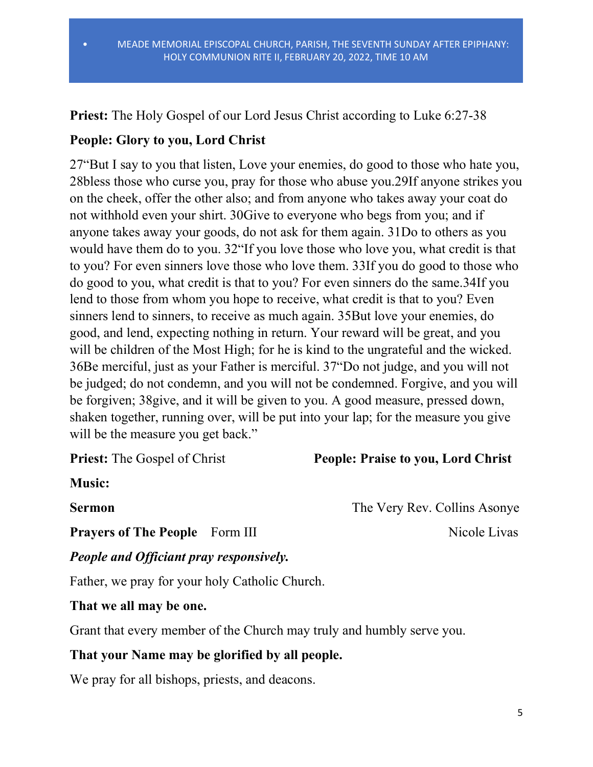Priest: The Holy Gospel of our Lord Jesus Christ according to Luke 6:27-38

## People: Glory to you, Lord Christ

27"But I say to you that listen, Love your enemies, do good to those who hate you, 28bless those who curse you, pray for those who abuse you.29If anyone strikes you on the cheek, offer the other also; and from anyone who takes away your coat do not withhold even your shirt. 30Give to everyone who begs from you; and if anyone takes away your goods, do not ask for them again. 31Do to others as you would have them do to you. 32"If you love those who love you, what credit is that to you? For even sinners love those who love them. 33If you do good to those who do good to you, what credit is that to you? For even sinners do the same.34If you lend to those from whom you hope to receive, what credit is that to you? Even sinners lend to sinners, to receive as much again. 35But love your enemies, do good, and lend, expecting nothing in return. Your reward will be great, and you will be children of the Most High; for he is kind to the ungrateful and the wicked. 36Be merciful, just as your Father is merciful. 37"Do not judge, and you will not be judged; do not condemn, and you will not be condemned. Forgive, and you will be forgiven; 38give, and it will be given to you. A good measure, pressed down, shaken together, running over, will be put into your lap; for the measure you give will be the measure you get back."

Priest: The Gospel of Christ People: Praise to you, Lord Christ

Music:

Sermon The Very Rev. Collins Asonye

**Prayers of The People** Form III Nicole Livas

## People and Officiant pray responsively.

Father, we pray for your holy Catholic Church.

#### That we all may be one.

Grant that every member of the Church may truly and humbly serve you.

## That your Name may be glorified by all people.

We pray for all bishops, priests, and deacons.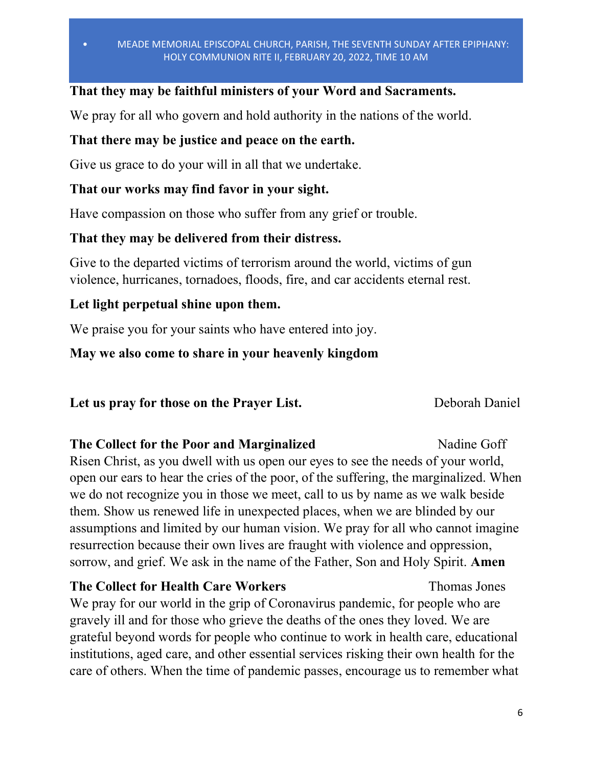### That they may be faithful ministers of your Word and Sacraments.

We pray for all who govern and hold authority in the nations of the world.

### That there may be justice and peace on the earth.

Give us grace to do your will in all that we undertake.

### That our works may find favor in your sight.

Have compassion on those who suffer from any grief or trouble.

#### That they may be delivered from their distress.

Give to the departed victims of terrorism around the world, victims of gun violence, hurricanes, tornadoes, floods, fire, and car accidents eternal rest.

## Let light perpetual shine upon them.

We praise you for your saints who have entered into joy.

May we also come to share in your heavenly kingdom

Let us pray for those on the Prayer List. Deborah Daniel

#### The Collect for the Poor and Marginalized Nadine Goff

Risen Christ, as you dwell with us open our eyes to see the needs of your world, open our ears to hear the cries of the poor, of the suffering, the marginalized. When we do not recognize you in those we meet, call to us by name as we walk beside them. Show us renewed life in unexpected places, when we are blinded by our assumptions and limited by our human vision. We pray for all who cannot imagine resurrection because their own lives are fraught with violence and oppression, sorrow, and grief. We ask in the name of the Father, Son and Holy Spirit. Amen

The Collect for Health Care Workers Thomas Jones We pray for our world in the grip of Coronavirus pandemic, for people who are gravely ill and for those who grieve the deaths of the ones they loved. We are grateful beyond words for people who continue to work in health care, educational institutions, aged care, and other essential services risking their own health for the care of others. When the time of pandemic passes, encourage us to remember what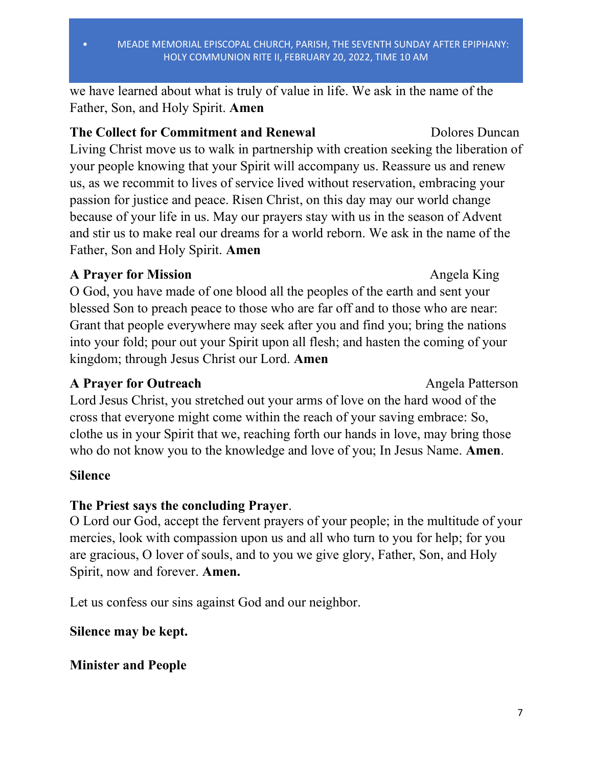7

• MEADE MEMORIAL EPISCOPAL CHURCH, PARISH, THE SEVENTH SUNDAY AFTER EPIPHANY: HOLY COMMUNION RITE II, FEBRUARY 20, 2022, TIME 10 AM

we have learned about what is truly of value in life. We ask in the name of the Father, Son, and Holy Spirit. Amen

## The Collect for Commitment and Renewal Dolores Duncan

Living Christ move us to walk in partnership with creation seeking the liberation of your people knowing that your Spirit will accompany us. Reassure us and renew us, as we recommit to lives of service lived without reservation, embracing your passion for justice and peace. Risen Christ, on this day may our world change because of your life in us. May our prayers stay with us in the season of Advent and stir us to make real our dreams for a world reborn. We ask in the name of the Father, Son and Holy Spirit. Amen

#### A Prayer for Mission Angela King

O God, you have made of one blood all the peoples of the earth and sent your blessed Son to preach peace to those who are far off and to those who are near: Grant that people everywhere may seek after you and find you; bring the nations into your fold; pour out your Spirit upon all flesh; and hasten the coming of your kingdom; through Jesus Christ our Lord. Amen

## A Prayer for Outreach Angela Patterson

Lord Jesus Christ, you stretched out your arms of love on the hard wood of the cross that everyone might come within the reach of your saving embrace: So, clothe us in your Spirit that we, reaching forth our hands in love, may bring those who do not know you to the knowledge and love of you; In Jesus Name. Amen.

## Silence

## The Priest says the concluding Prayer.

O Lord our God, accept the fervent prayers of your people; in the multitude of your mercies, look with compassion upon us and all who turn to you for help; for you are gracious, O lover of souls, and to you we give glory, Father, Son, and Holy Spirit, now and forever. Amen.

Let us confess our sins against God and our neighbor.

Silence may be kept.

Minister and People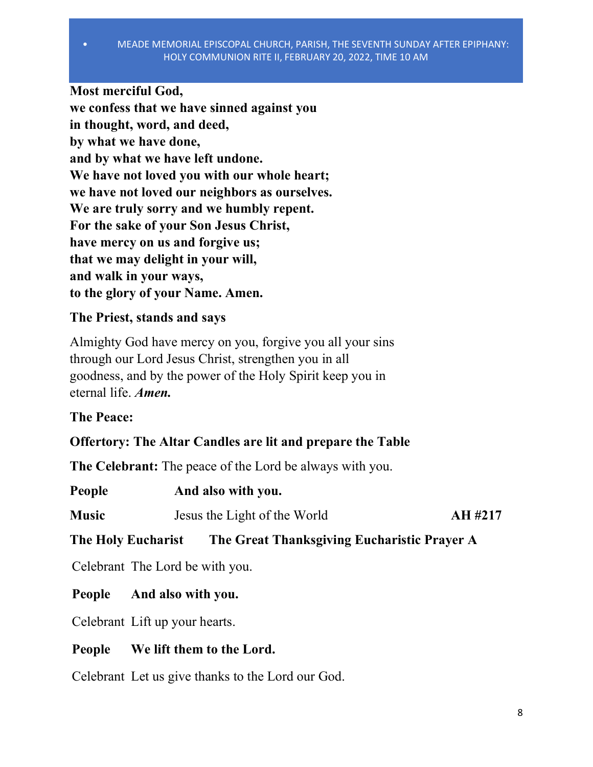#### Most merciful God,

we confess that we have sinned against you in thought, word, and deed, by what we have done, and by what we have left undone. We have not loved you with our whole heart; we have not loved our neighbors as ourselves. We are truly sorry and we humbly repent. For the sake of your Son Jesus Christ, have mercy on us and forgive us; that we may delight in your will, and walk in your ways, to the glory of your Name. Amen.

#### The Priest, stands and says

Almighty God have mercy on you, forgive you all your sins through our Lord Jesus Christ, strengthen you in all goodness, and by the power of the Holy Spirit keep you in eternal life. Amen.

#### The Peace:

#### Offertory: The Altar Candles are lit and prepare the Table

The Celebrant: The peace of the Lord be always with you.

| People                          | And also with you.           |                                             |         |
|---------------------------------|------------------------------|---------------------------------------------|---------|
| <b>Music</b>                    | Jesus the Light of the World |                                             | AH #217 |
| <b>The Holy Eucharist</b>       |                              | The Great Thanksgiving Eucharistic Prayer A |         |
| Celebrant The Lord be with you. |                              |                                             |         |

People And also with you.

Celebrant Lift up your hearts.

#### People We lift them to the Lord.

Celebrant Let us give thanks to the Lord our God.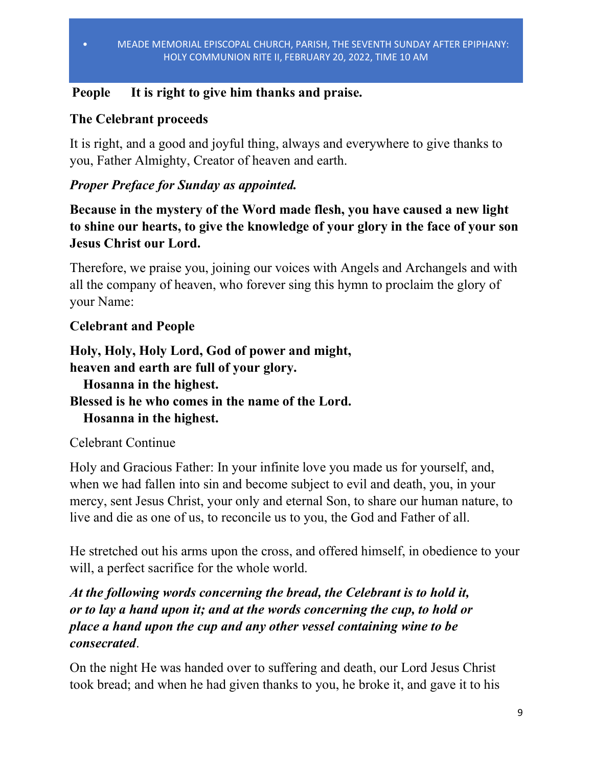## People It is right to give him thanks and praise.

## The Celebrant proceeds

It is right, and a good and joyful thing, always and everywhere to give thanks to you, Father Almighty, Creator of heaven and earth.

## Proper Preface for Sunday as appointed.

Because in the mystery of the Word made flesh, you have caused a new light to shine our hearts, to give the knowledge of your glory in the face of your son Jesus Christ our Lord.

Therefore, we praise you, joining our voices with Angels and Archangels and with all the company of heaven, who forever sing this hymn to proclaim the glory of your Name:

## Celebrant and People

Holy, Holy, Holy Lord, God of power and might, heaven and earth are full of your glory. Hosanna in the highest. Blessed is he who comes in the name of the Lord. Hosanna in the highest.

#### Celebrant Continue

Holy and Gracious Father: In your infinite love you made us for yourself, and, when we had fallen into sin and become subject to evil and death, you, in your mercy, sent Jesus Christ, your only and eternal Son, to share our human nature, to live and die as one of us, to reconcile us to you, the God and Father of all.

He stretched out his arms upon the cross, and offered himself, in obedience to your will, a perfect sacrifice for the whole world.

## At the following words concerning the bread, the Celebrant is to hold it, or to lay a hand upon it; and at the words concerning the cup, to hold or place a hand upon the cup and any other vessel containing wine to be consecrated.

On the night He was handed over to suffering and death, our Lord Jesus Christ took bread; and when he had given thanks to you, he broke it, and gave it to his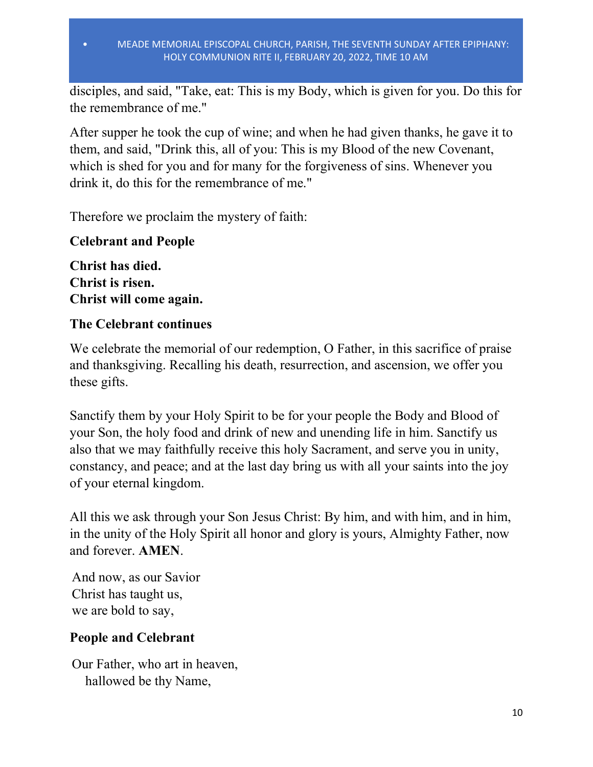disciples, and said, "Take, eat: This is my Body, which is given for you. Do this for the remembrance of me."

After supper he took the cup of wine; and when he had given thanks, he gave it to them, and said, "Drink this, all of you: This is my Blood of the new Covenant, which is shed for you and for many for the forgiveness of sins. Whenever you drink it, do this for the remembrance of me."

Therefore we proclaim the mystery of faith:

#### Celebrant and People

Christ has died. Christ is risen. Christ will come again.

## The Celebrant continues

We celebrate the memorial of our redemption, O Father, in this sacrifice of praise and thanksgiving. Recalling his death, resurrection, and ascension, we offer you these gifts.

Sanctify them by your Holy Spirit to be for your people the Body and Blood of your Son, the holy food and drink of new and unending life in him. Sanctify us also that we may faithfully receive this holy Sacrament, and serve you in unity, constancy, and peace; and at the last day bring us with all your saints into the joy of your eternal kingdom.

All this we ask through your Son Jesus Christ: By him, and with him, and in him, in the unity of the Holy Spirit all honor and glory is yours, Almighty Father, now and forever. AMEN.

And now, as our Savior Christ has taught us, we are bold to say,

## People and Celebrant

Our Father, who art in heaven, hallowed be thy Name,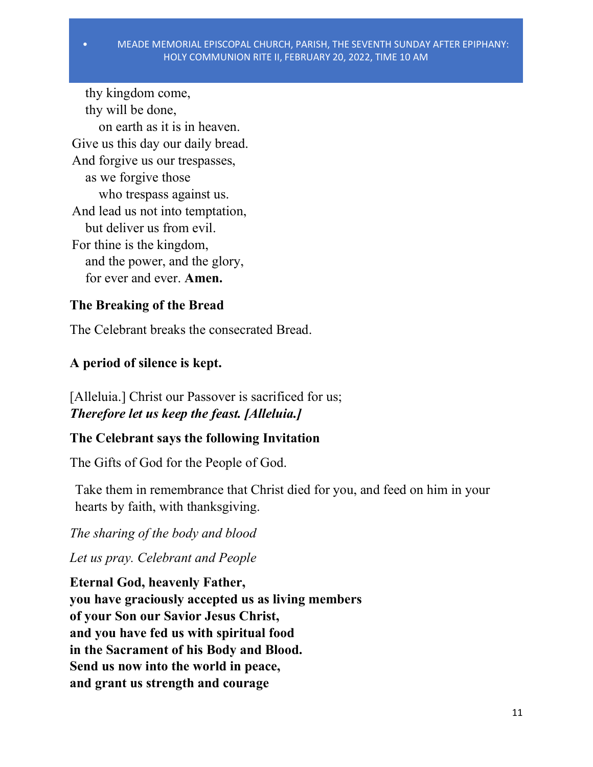thy kingdom come, thy will be done, on earth as it is in heaven. Give us this day our daily bread. And forgive us our trespasses, as we forgive those who trespass against us. And lead us not into temptation, but deliver us from evil. For thine is the kingdom, and the power, and the glory, for ever and ever. Amen.

## The Breaking of the Bread

The Celebrant breaks the consecrated Bread.

## A period of silence is kept.

[Alleluia.] Christ our Passover is sacrificed for us; Therefore let us keep the feast. [Alleluia.]

## The Celebrant says the following Invitation

The Gifts of God for the People of God.

Take them in remembrance that Christ died for you, and feed on him in your hearts by faith, with thanksgiving.

#### The sharing of the body and blood

Let us pray. Celebrant and People

Eternal God, heavenly Father, you have graciously accepted us as living members of your Son our Savior Jesus Christ, and you have fed us with spiritual food in the Sacrament of his Body and Blood. Send us now into the world in peace, and grant us strength and courage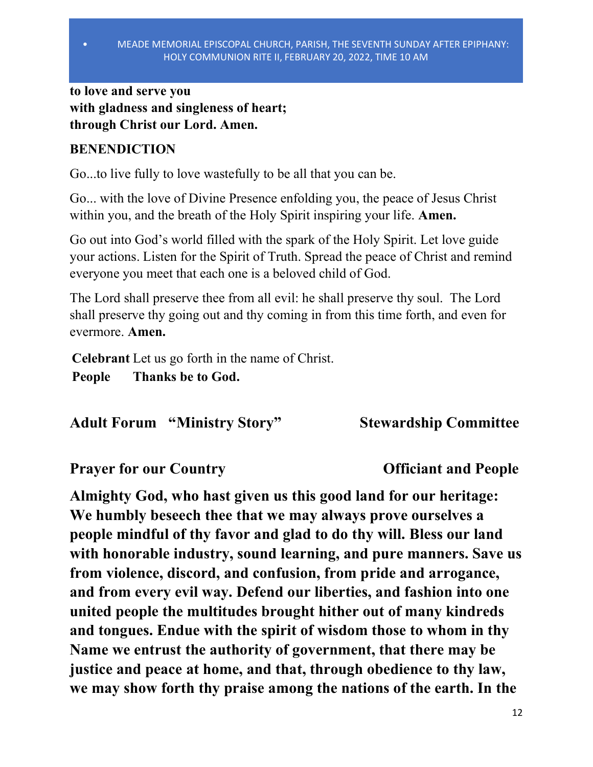to love and serve you with gladness and singleness of heart; through Christ our Lord. Amen.

## BENENDICTION

Go...to live fully to love wastefully to be all that you can be.

Go... with the love of Divine Presence enfolding you, the peace of Jesus Christ within you, and the breath of the Holy Spirit inspiring your life. **Amen.** 

Go out into God's world filled with the spark of the Holy Spirit. Let love guide your actions. Listen for the Spirit of Truth. Spread the peace of Christ and remind everyone you meet that each one is a beloved child of God.

The Lord shall preserve thee from all evil: he shall preserve thy soul. The Lord shall preserve thy going out and thy coming in from this time forth, and even for evermore. Amen.

Celebrant Let us go forth in the name of Christ. People Thanks be to God.

| <b>Adult Forum "Ministry Story"</b> | <b>Stewardship Committee</b> |
|-------------------------------------|------------------------------|
|                                     |                              |

**Prayer for our Country County County County County County County County County County County County County County County County County County County County County County County County County County County County County Co** 

Almighty God, who hast given us this good land for our heritage: We humbly beseech thee that we may always prove ourselves a people mindful of thy favor and glad to do thy will. Bless our land with honorable industry, sound learning, and pure manners. Save us from violence, discord, and confusion, from pride and arrogance, and from every evil way. Defend our liberties, and fashion into one united people the multitudes brought hither out of many kindreds and tongues. Endue with the spirit of wisdom those to whom in thy Name we entrust the authority of government, that there may be justice and peace at home, and that, through obedience to thy law, we may show forth thy praise among the nations of the earth. In the